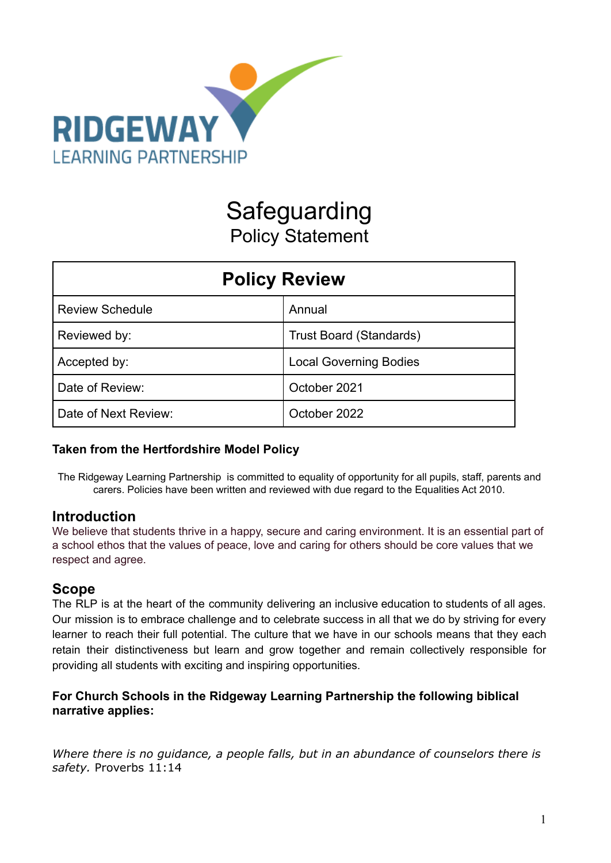

# Safeguarding Policy Statement

| <b>Policy Review</b>   |                                |  |
|------------------------|--------------------------------|--|
| <b>Review Schedule</b> | Annual                         |  |
| Reviewed by:           | <b>Trust Board (Standards)</b> |  |
| Accepted by:           | <b>Local Governing Bodies</b>  |  |
| Date of Review:        | October 2021                   |  |
| Date of Next Review:   | October 2022                   |  |

### **Taken from the Hertfordshire Model Policy**

The Ridgeway Learning Partnership is committed to equality of opportunity for all pupils, staff, parents and carers. Policies have been written and reviewed with due regard to the Equalities Act 2010.

# **Introduction**

We believe that students thrive in a happy, secure and caring environment. It is an essential part of a school ethos that the values of peace, love and caring for others should be core values that we respect and agree.

# **Scope**

The RLP is at the heart of the community delivering an inclusive education to students of all ages. Our mission is to embrace challenge and to celebrate success in all that we do by striving for every learner to reach their full potential. The culture that we have in our schools means that they each retain their distinctiveness but learn and grow together and remain collectively responsible for providing all students with exciting and inspiring opportunities.

### **For Church Schools in the Ridgeway Learning Partnership the following biblical narrative applies:**

*Where there is no guidance, a people falls, but in an abundance of counselors there is safety.* Proverbs 11:14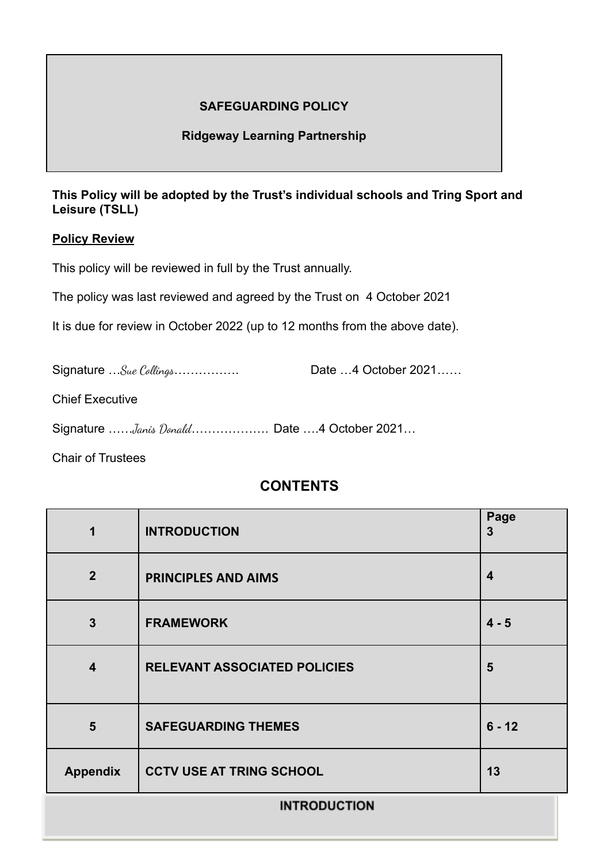# **SAFEGUARDING POLICY**

### **Ridgeway Learning Partnership**

### **This Policy will be adopted by the Trust's individual schools and Tring Sport and Leisure (TSLL)**

#### **Policy Review**

This policy will be reviewed in full by the Trust annually.

The policy was last reviewed and agreed by the Trust on 4 October 2021

It is due for review in October 2022 (up to 12 months from the above date).

Signature …Sue Collings……………. Date …4 October 2021……

Chief Executive

Signature ……*Janis Donald*………………… Date ….4 October 2021...

Chair of Trustees

# **CONTENTS**

| 1                       | <b>INTRODUCTION</b>                 | Page<br>$\mathbf{3}$    |
|-------------------------|-------------------------------------|-------------------------|
| $\overline{2}$          | <b>PRINCIPLES AND AIMS</b>          | $\overline{\mathbf{4}}$ |
| $\overline{3}$          | <b>FRAMEWORK</b>                    | $4 - 5$                 |
| $\overline{\mathbf{4}}$ | <b>RELEVANT ASSOCIATED POLICIES</b> | 5                       |
| 5                       | <b>SAFEGUARDING THEMES</b>          | $6 - 12$                |
| <b>Appendix</b>         | <b>CCTV USE AT TRING SCHOOL</b>     | 13                      |
| <b>INTRODUCTION</b>     |                                     |                         |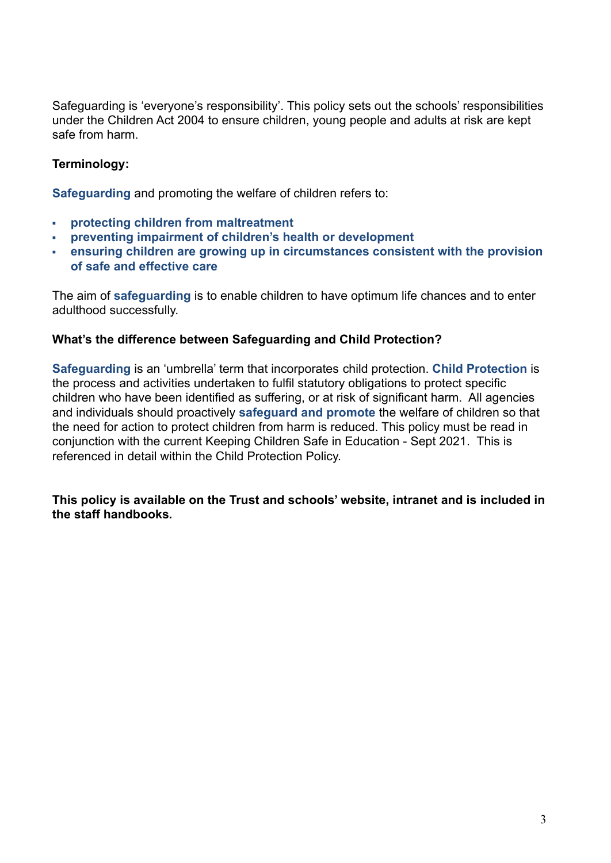Safeguarding is 'everyone's responsibility'. This policy sets out the schools' responsibilities under the Children Act 2004 to ensure children, young people and adults at risk are kept safe from harm.

### **Terminology:**

**Safeguarding** and promoting the welfare of children refers to:

- **▪ protecting children from maltreatment**
- **▪ preventing impairment of children's health or development**
- **▪ ensuring children are growing up in circumstances consistent with the provision of safe and effective care**

The aim of **safeguarding** is to enable children to have optimum life chances and to enter adulthood successfully.

#### **What's the difference between Safeguarding and Child Protection?**

**Safeguarding** is an 'umbrella' term that incorporates child protection. **Child Protection** is the process and activities undertaken to fulfil statutory obligations to protect specific children who have been identified as suffering, or at risk of significant harm. All agencies and individuals should proactively **safeguard and promote** the welfare of children so that the need for action to protect children from harm is reduced. This policy must be read in conjunction with the current Keeping Children Safe in Education - Sept 2021. This is referenced in detail within the Child Protection Policy.

**This policy is available on the Trust and schools' website, intranet and is included in the staff handbooks***.*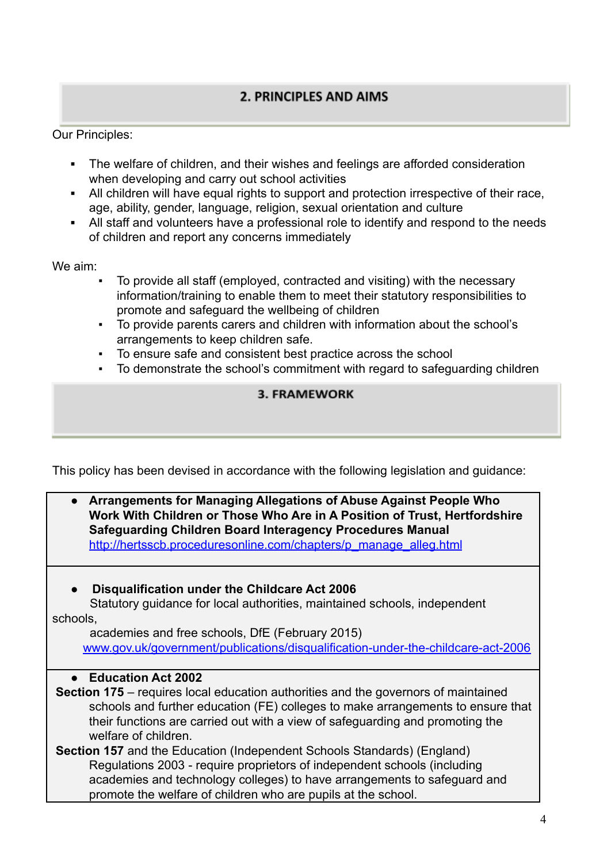# 2. PRINCIPLES AND AIMS

Our Principles:

- **▪** The welfare of children, and their wishes and feelings are afforded consideration when developing and carry out school activities
- **▪** All children will have equal rights to support and protection irrespective of their race, age, ability, gender, language, religion, sexual orientation and culture
- **▪** All staff and volunteers have a professional role to identify and respond to the needs of children and report any concerns immediately

We aim:

- To provide all staff (employed, contracted and visiting) with the necessary information/training to enable them to meet their statutory responsibilities to promote and safeguard the wellbeing of children
- To provide parents carers and children with information about the school's arrangements to keep children safe.
- To ensure safe and consistent best practice across the school
- To demonstrate the school's commitment with regard to safeguarding children

# **3. FRAMEWORK**

This policy has been devised in accordance with the following legislation and guidance:

| Arrangements for Managing Allegations of Abuse Against People Who<br>Work With Children or Those Who Are in A Position of Trust, Hertfordshire<br><b>Safeguarding Children Board Interagency Procedures Manual</b><br>http://hertsscb.proceduresonline.com/chapters/p manage alleg.html |
|-----------------------------------------------------------------------------------------------------------------------------------------------------------------------------------------------------------------------------------------------------------------------------------------|
| Disqualification under the Childcare Act 2006                                                                                                                                                                                                                                           |
| Statutory guidance for local authorities, maintained schools, independent                                                                                                                                                                                                               |
| schools.                                                                                                                                                                                                                                                                                |
| academies and free schools, DfE (February 2015)                                                                                                                                                                                                                                         |
| www.gov.uk/government/publications/disqualification-under-the-childcare-act-2006                                                                                                                                                                                                        |
|                                                                                                                                                                                                                                                                                         |
| <b>Education Act 2002</b>                                                                                                                                                                                                                                                               |
| <b>Section 175</b> – requires local education authorities and the governors of maintained                                                                                                                                                                                               |
| schools and further education (FE) colleges to make arrangements to ensure that                                                                                                                                                                                                         |
| their functions are carried out with a view of safeguarding and promoting the                                                                                                                                                                                                           |
| welfare of children.                                                                                                                                                                                                                                                                    |
| <b>Section 157</b> and the Education (Independent Schools Standards) (England)                                                                                                                                                                                                          |
| Regulations 2003 - require proprietors of independent schools (including                                                                                                                                                                                                                |
| academies and technology colleges) to have arrangements to safeguard and                                                                                                                                                                                                                |
| promote the welfare of children who are pupils at the school.                                                                                                                                                                                                                           |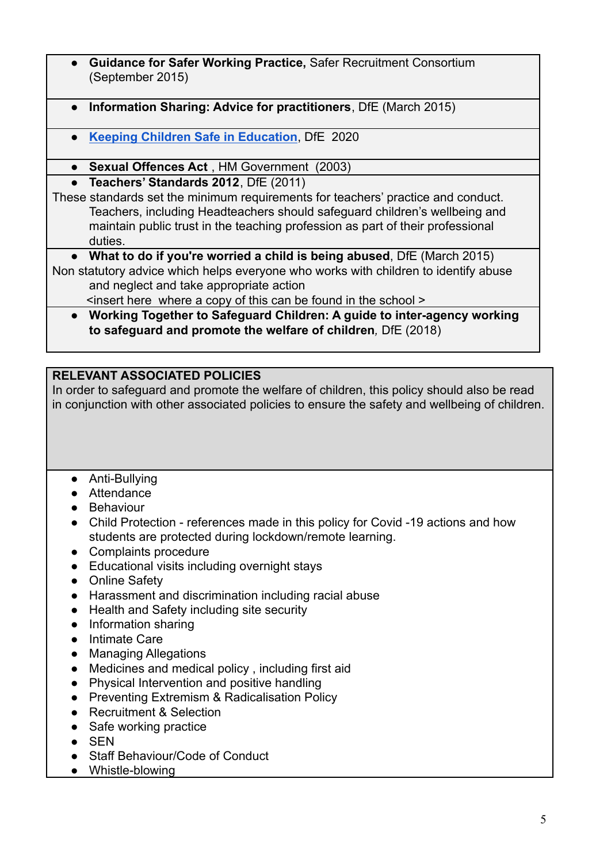- **Guidance for Safer Working Practice, Safer Recruitment Consortium** (September 2015)
- **Information Sharing: Advice for practitioners**, DfE (March 2015)
- **[Keeping Children Safe in Education](https://drive.google.com/file/d/19EIy_oTtqIeEyKe-cBKkNM6byqEO3Ibp/view?usp=sharing)**, DfE 2020
- **Sexual Offences Act** , HM Government (2003)
- **Teachers' Standards 2012**, DfE (2011)

These standards set the minimum requirements for teachers' practice and conduct. Teachers, including Headteachers should safeguard children's wellbeing and maintain public trust in the teaching profession as part of their professional duties.

● **What to do if you're worried a child is being abused**, DfE (March 2015) Non statutory advice which helps everyone who works with children to identify abuse and neglect and take appropriate action

<insert here where a copy of this can be found in the school >

*●* **Working Together to Safeguard Children: A guide to inter-agency working to safeguard and promote the welfare of children***,* DfE (2018)

# **RELEVANT ASSOCIATED POLICIES**

In order to safeguard and promote the welfare of children, this policy should also be read in conjunction with other associated policies to ensure the safety and wellbeing of children.

- Anti-Bullying
- Attendance
- Behaviour
- Child Protection references made in this policy for Covid -19 actions and how students are protected during lockdown/remote learning.
- Complaints procedure
- Educational visits including overnight stays
- Online Safety
- Harassment and discrimination including racial abuse
- Health and Safety including site security
- Information sharing
- Intimate Care
- Managing Allegations
- Medicines and medical policy , including first aid
- Physical Intervention and positive handling
- Preventing Extremism & Radicalisation Policy
- Recruitment & Selection
- Safe working practice
- SEN
- Staff Behaviour/Code of Conduct
- Whistle-blowing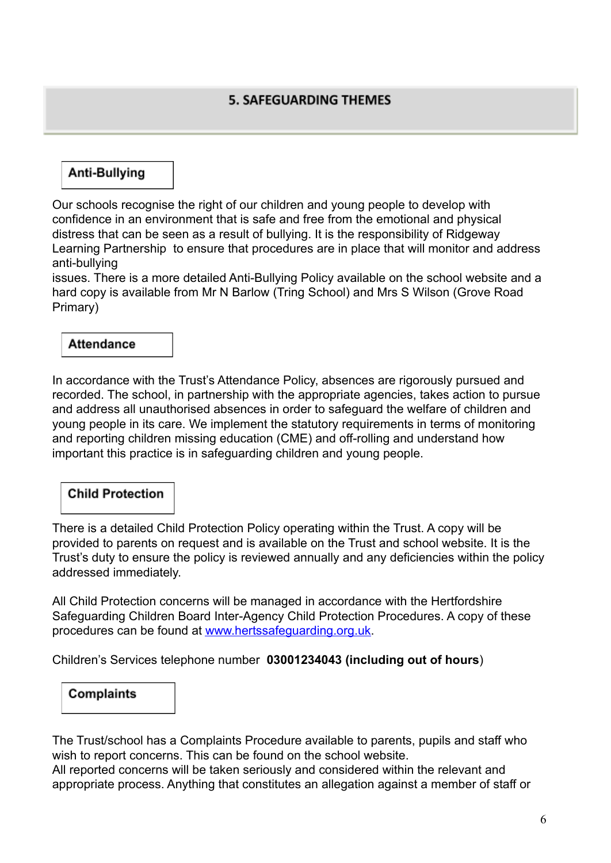# Anti-Bullying

Our schools recognise the right of our children and young people to develop with confidence in an environment that is safe and free from the emotional and physical distress that can be seen as a result of bullying. It is the responsibility of Ridgeway Learning Partnership to ensure that procedures are in place that will monitor and address anti-bullying

issues. There is a more detailed Anti-Bullying Policy available on the school website and a hard copy is available from Mr N Barlow (Tring School) and Mrs S Wilson (Grove Road Primary)

# **Attendance**

In accordance with the Trust's Attendance Policy, absences are rigorously pursued and recorded. The school, in partnership with the appropriate agencies, takes action to pursue and address all unauthorised absences in order to safeguard the welfare of children and young people in its care. We implement the statutory requirements in terms of monitoring and reporting children missing education (CME) and off-rolling and understand how important this practice is in safeguarding children and young people.

### **Child Protection**

There is a detailed Child Protection Policy operating within the Trust. A copy will be provided to parents on request and is available on the Trust and school website. It is the Trust's duty to ensure the policy is reviewed annually and any deficiencies within the policy addressed immediately.

All Child Protection concerns will be managed in accordance with the Hertfordshire Safeguarding Children Board Inter-Agency Child Protection Procedures. A copy of these procedures can be found at [www.hertssafeguarding.org.uk.](http://www.hertssafeguarding.org.uk)

Children's Services telephone number **03001234043 (including out of hours**)

# **Complaints**

The Trust/school has a Complaints Procedure available to parents, pupils and staff who wish to report concerns. This can be found on the school website.

All reported concerns will be taken seriously and considered within the relevant and appropriate process. Anything that constitutes an allegation against a member of staff or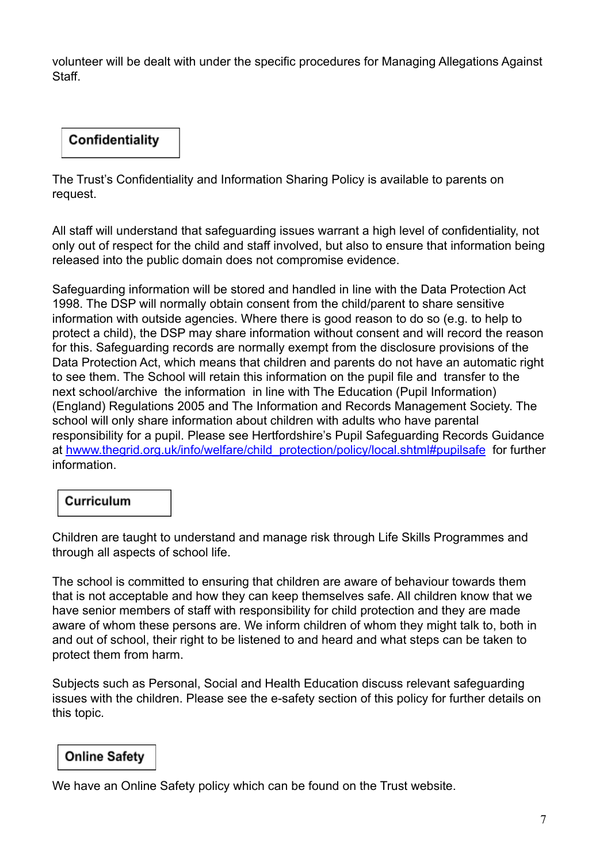volunteer will be dealt with under the specific procedures for Managing Allegations Against **Staff** 

# Confidentiality

The Trust's Confidentiality and Information Sharing Policy is available to parents on request.

All staff will understand that safeguarding issues warrant a high level of confidentiality, not only out of respect for the child and staff involved, but also to ensure that information being released into the public domain does not compromise evidence.

Safeguarding information will be stored and handled in line with the Data Protection Act 1998. The DSP will normally obtain consent from the child/parent to share sensitive information with outside agencies. Where there is good reason to do so (e.g. to help to protect a child), the DSP may share information without consent and will record the reason for this. Safeguarding records are normally exempt from the disclosure provisions of the Data Protection Act, which means that children and parents do not have an automatic right to see them. The School will retain this information on the pupil file and transfer to the next school/archive the information in line with The Education (Pupil Information) (England) Regulations 2005 and The Information and Records Management Society. The school will only share information about children with adults who have parental responsibility for a pupil. Please see Hertfordshire's Pupil Safeguarding Records Guidance at [hwww.thegrid.org.uk/info/welfare/child\\_protection/policy/local.shtml#pupilsafe](http://www.thegrid.org.uk/info/welfare/child_protection/policy/local.shtml#pupilsafe) for further information.

### Curriculum

Children are taught to understand and manage risk through Life Skills Programmes and through all aspects of school life.

The school is committed to ensuring that children are aware of behaviour towards them that is not acceptable and how they can keep themselves safe. All children know that we have senior members of staff with responsibility for child protection and they are made aware of whom these persons are. We inform children of whom they might talk to, both in and out of school, their right to be listened to and heard and what steps can be taken to protect them from harm.

Subjects such as Personal, Social and Health Education discuss relevant safeguarding issues with the children. Please see the e-safety section of this policy for further details on this topic.

# **Online Safety**

We have an Online Safety policy which can be found on the Trust website.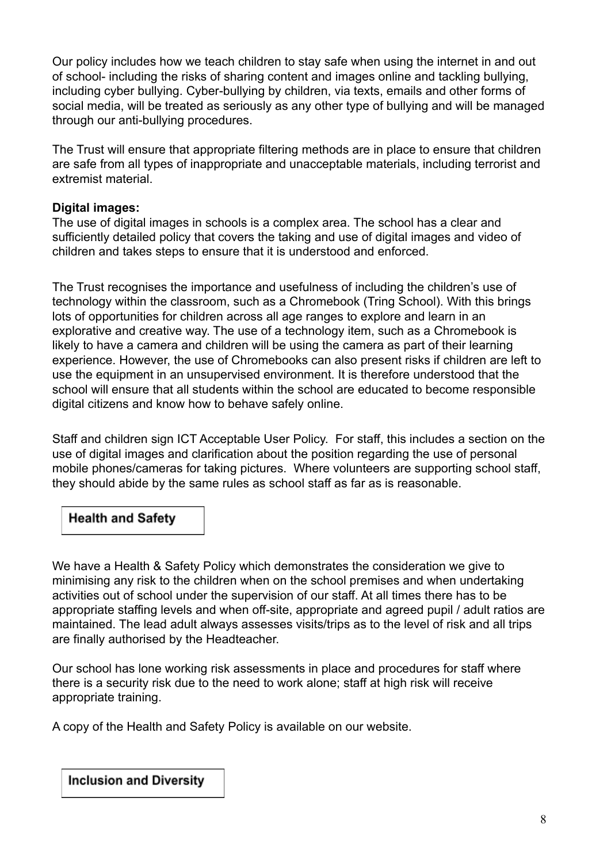Our policy includes how we teach children to stay safe when using the internet in and out of school- including the risks of sharing content and images online and tackling bullying, including cyber bullying. Cyber-bullying by children, via texts, emails and other forms of social media, will be treated as seriously as any other type of bullying and will be managed through our anti-bullying procedures.

The Trust will ensure that appropriate filtering methods are in place to ensure that children are safe from all types of inappropriate and unacceptable materials, including terrorist and extremist material.

### **Digital images:**

The use of digital images in schools is a complex area. The school has a clear and sufficiently detailed policy that covers the taking and use of digital images and video of children and takes steps to ensure that it is understood and enforced.

The Trust recognises the importance and usefulness of including the children's use of technology within the classroom, such as a Chromebook (Tring School). With this brings lots of opportunities for children across all age ranges to explore and learn in an explorative and creative way. The use of a technology item, such as a Chromebook is likely to have a camera and children will be using the camera as part of their learning experience. However, the use of Chromebooks can also present risks if children are left to use the equipment in an unsupervised environment. It is therefore understood that the school will ensure that all students within the school are educated to become responsible digital citizens and know how to behave safely online.

Staff and children sign ICT Acceptable User Policy. For staff, this includes a section on the use of digital images and clarification about the position regarding the use of personal mobile phones/cameras for taking pictures. Where volunteers are supporting school staff, they should abide by the same rules as school staff as far as is reasonable.

# **Health and Safety**

We have a Health & Safety Policy which demonstrates the consideration we give to minimising any risk to the children when on the school premises and when undertaking activities out of school under the supervision of our staff. At all times there has to be appropriate staffing levels and when off-site, appropriate and agreed pupil / adult ratios are maintained. The lead adult always assesses visits/trips as to the level of risk and all trips are finally authorised by the Headteacher.

Our school has lone working risk assessments in place and procedures for staff where there is a security risk due to the need to work alone; staff at high risk will receive appropriate training.

A copy of the Health and Safety Policy is available on our website.

**Inclusion and Diversity**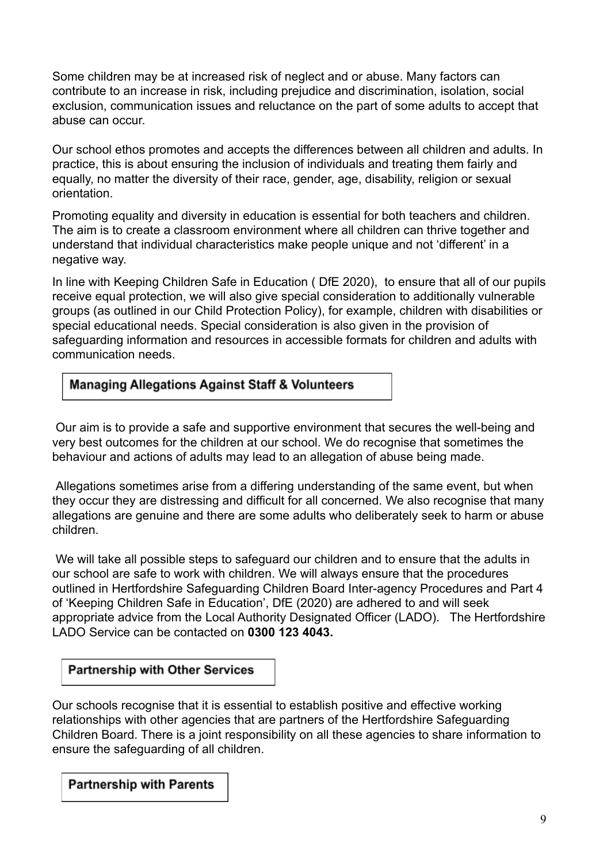Some children may be at increased risk of neglect and or abuse. Many factors can contribute to an increase in risk, including prejudice and discrimination, isolation, social exclusion, communication issues and reluctance on the part of some adults to accept that abuse can occur.

Our school ethos promotes and accepts the differences between all children and adults. In practice, this is about ensuring the inclusion of individuals and treating them fairly and equally, no matter the diversity of their race, gender, age, disability, religion or sexual orientation.

Promoting equality and diversity in education is essential for both teachers and children. The aim is to create a classroom environment where all children can thrive together and understand that individual characteristics make people unique and not 'different' in a negative way.

In line with Keeping Children Safe in Education ( DfE 2020), to ensure that all of our pupils receive equal protection, we will also give special consideration to additionally vulnerable groups (as outlined in our Child Protection Policy), for example, children with disabilities or special educational needs. Special consideration is also given in the provision of safeguarding information and resources in accessible formats for children and adults with communication needs.

### **Managing Allegations Against Staff & Volunteers**

Our aim is to provide a safe and supportive environment that secures the well-being and very best outcomes for the children at our school. We do recognise that sometimes the behaviour and actions of adults may lead to an allegation of abuse being made.

Allegations sometimes arise from a differing understanding of the same event, but when they occur they are distressing and difficult for all concerned. We also recognise that many allegations are genuine and there are some adults who deliberately seek to harm or abuse children.

We will take all possible steps to safeguard our children and to ensure that the adults in our school are safe to work with children. We will always ensure that the procedures outlined in [Hertfordshire](http://norfolkscb.proceduresonline.com/chapters/p_alleg_work.html) Safeguarding Children Board Inter-agency Procedures and Part 4 of 'Keeping Children Safe in Education', DfE (2020) are adhered to and will seek appropriate advice from the Local Authority Designated Officer (LADO). The Hertfordshire LADO Service can be contacted on **0300 123 4043.**

### **Partnership with Other Services**

Our schools recognise that it is essential to establish positive and effective working relationships with other agencies that are partners of the Hertfordshire Safeguarding Children Board. There is a joint responsibility on all these agencies to share information to ensure the safeguarding of all children.

**Partnership with Parents**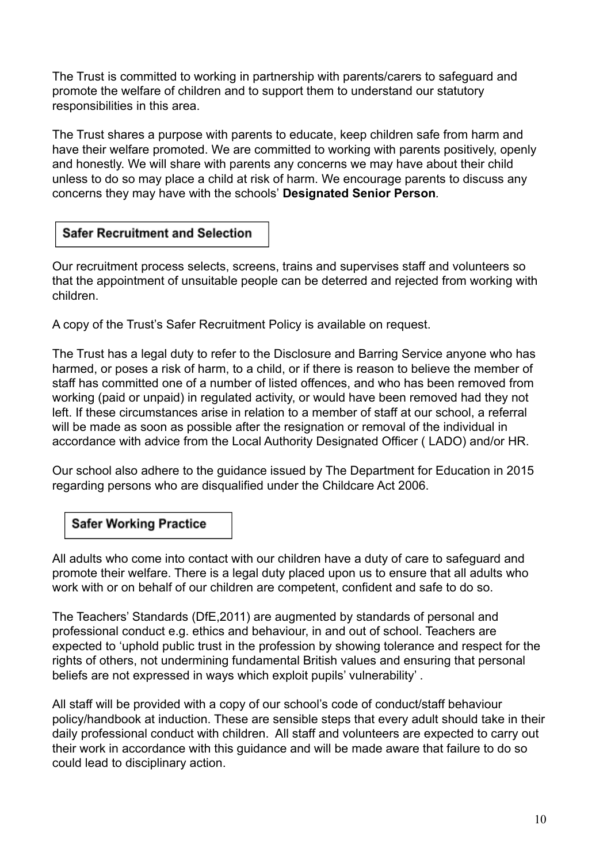The Trust is committed to working in partnership with parents/carers to safeguard and promote the welfare of children and to support them to understand our statutory responsibilities in this area.

The Trust shares a purpose with parents to educate, keep children safe from harm and have their welfare promoted. We are committed to working with parents positively, openly and honestly. We will share with parents any concerns we may have about their child unless to do so may place a child at risk of harm. We encourage parents to discuss any concerns they may have with the schools' **Designated Senior Person***.*

# **Safer Recruitment and Selection**

Our recruitment process selects, screens, trains and supervises staff and volunteers so that the appointment of unsuitable people can be deterred and rejected from working with children.

A copy of the Trust's Safer Recruitment Policy is available on request.

The Trust has a legal duty to refer to the Disclosure and Barring Service anyone who has harmed, or poses a risk of harm, to a child, or if there is reason to believe the member of staff has committed one of a number of listed offences, and who has been removed from working (paid or unpaid) in regulated activity, or would have been removed had they not left. If these circumstances arise in relation to a member of staff at our school, a referral will be made as soon as possible after the resignation or removal of the individual in accordance with advice from the Local Authority Designated Officer ( LADO) and/or HR.

Our school also adhere to the guidance issued by The Department for Education in 2015 regarding persons who are disqualified under the Childcare Act 2006.

### **Safer Working Practice**

All adults who come into contact with our children have a duty of care to safeguard and promote their welfare. There is a legal duty placed upon us to ensure that all adults who work with or on behalf of our children are competent, confident and safe to do so.

The Teachers' Standards (DfE,2011) are augmented by standards of personal and professional conduct e.g. ethics and behaviour, in and out of school. Teachers are expected to 'uphold public trust in the profession by showing tolerance and respect for the rights of others, not undermining fundamental British values and ensuring that personal beliefs are not expressed in ways which exploit pupils' vulnerability' .

All staff will be provided with a copy of our school's code of conduct/staff behaviour policy/handbook at induction. These are sensible steps that every adult should take in their daily professional conduct with children. All staff and volunteers are expected to carry out their work in accordance with this guidance and will be made aware that failure to do so could lead to disciplinary action.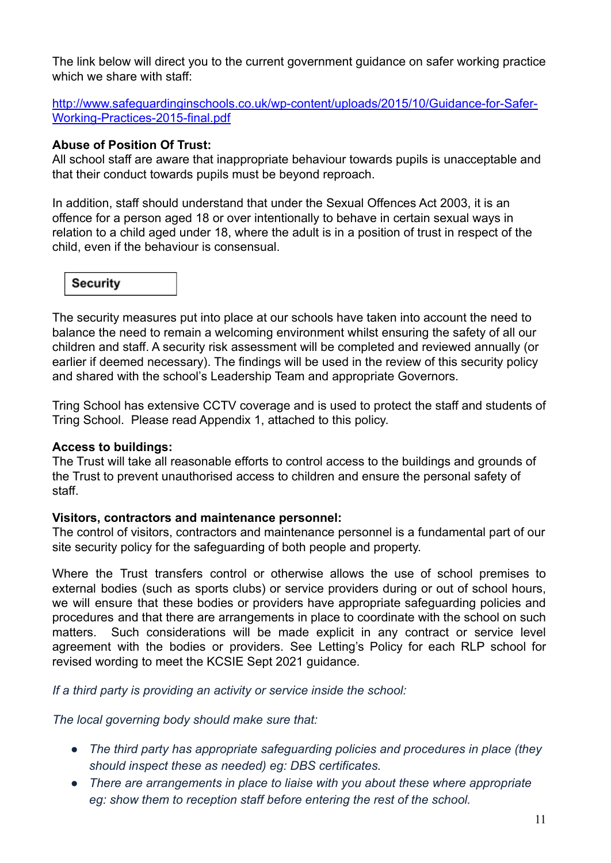The link below will direct you to the current government guidance on safer working practice which we share with staff:

[http://www.safeguardinginschools.co.uk/wp-content/uploads/2015/10/Guidance-for-Safer-](http://www.safeguardinginschools.co.uk/wp-content/uploads/2015/10/Guidance-for-Safer-Working-Practices-2015-final.pdf)[Working-Practices-2015-final.pdf](http://www.safeguardinginschools.co.uk/wp-content/uploads/2015/10/Guidance-for-Safer-Working-Practices-2015-final.pdf)

### **Abuse of Position Of Trust:**

All school staff are aware that inappropriate behaviour towards pupils is unacceptable and that their conduct towards pupils must be beyond reproach.

In addition, staff should understand that under the Sexual Offences Act 2003, it is an offence for a person aged 18 or over intentionally to behave in certain sexual ways in relation to a child aged under 18, where the adult is in a position of trust in respect of the child, even if the behaviour is consensual.



The security measures put into place at our schools have taken into account the need to balance the need to remain a welcoming environment whilst ensuring the safety of all our children and staff. A security risk assessment will be completed and reviewed annually (or earlier if deemed necessary). The findings will be used in the review of this security policy and shared with the school's Leadership Team and appropriate Governors.

Tring School has extensive CCTV coverage and is used to protect the staff and students of Tring School. Please read Appendix 1, attached to this policy.

#### **Access to buildings:**

The Trust will take all reasonable efforts to control access to the buildings and grounds of the Trust to prevent unauthorised access to children and ensure the personal safety of staff.

### **Visitors, contractors and maintenance personnel:**

The control of visitors, contractors and maintenance personnel is a fundamental part of our site security policy for the safeguarding of both people and property.

Where the Trust transfers control or otherwise allows the use of school premises to external bodies (such as sports clubs) or service providers during or out of school hours, we will ensure that these bodies or providers have appropriate safeguarding policies and procedures and that there are arrangements in place to coordinate with the school on such matters. Such considerations will be made explicit in any contract or service level agreement with the bodies or providers. See Letting's Policy for each RLP school for revised wording to meet the KCSIE Sept 2021 guidance.

*If a third party is providing an activity or service inside the school:*

*The local governing body should make sure that:*

- *● The third party has appropriate safeguarding policies and procedures in place (they should inspect these as needed) eg: DBS certificates.*
- *● There are arrangements in place to liaise with you about these where appropriate eg: show them to reception staff before entering the rest of the school.*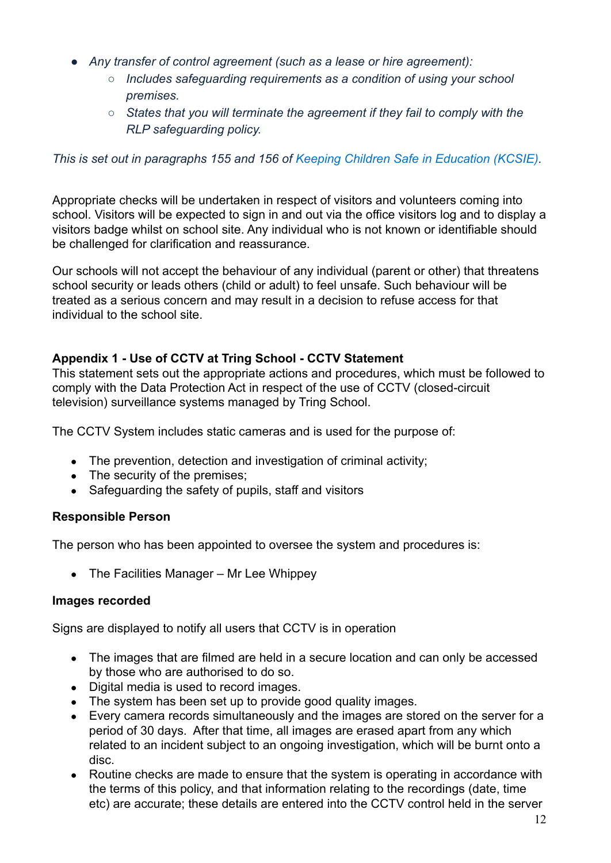- *● Any transfer of control agreement (such as a lease or hire agreement):*
	- *○ Includes safeguarding requirements as a condition of using your school premises.*
	- *○ States that you will terminate the agreement if they fail to comply with the RLP safeguarding policy.*

### *This is set out in paragraphs 155 and 156 of Keeping [Children Safe in Education \(KCSIE\)](https://www.gov.uk/government/publications/keeping-children-safe-in-education--2).*

Appropriate checks will be undertaken in respect of visitors and volunteers coming into school. Visitors will be expected to sign in and out via the office visitors log and to display a visitors badge whilst on school site. Any individual who is not known or identifiable should be challenged for clarification and reassurance.

Our schools will not accept the behaviour of any individual (parent or other) that threatens school security or leads others (child or adult) to feel unsafe. Such behaviour will be treated as a serious concern and may result in a decision to refuse access for that individual to the school site.

### **Appendix 1 - Use of CCTV at Tring School - CCTV Statement**

This statement sets out the appropriate actions and procedures, which must be followed to comply with the Data Protection Act in respect of the use of CCTV (closed-circuit television) surveillance systems managed by Tring School.

The CCTV System includes static cameras and is used for the purpose of:

- The prevention, detection and investigation of criminal activity;
- The security of the premises;
- Safeguarding the safety of pupils, staff and visitors

### **Responsible Person**

The person who has been appointed to oversee the system and procedures is:

• The Facilities Manager – Mr Lee Whippey

### **Images recorded**

Signs are displayed to notify all users that CCTV is in operation

- The images that are filmed are held in a secure location and can only be accessed by those who are authorised to do so.
- Digital media is used to record images.
- The system has been set up to provide good quality images.
- Every camera records simultaneously and the images are stored on the server for a period of 30 days. After that time, all images are erased apart from any which related to an incident subject to an ongoing investigation, which will be burnt onto a disc.
- Routine checks are made to ensure that the system is operating in accordance with the terms of this policy, and that information relating to the recordings (date, time etc) are accurate; these details are entered into the CCTV control held in the server